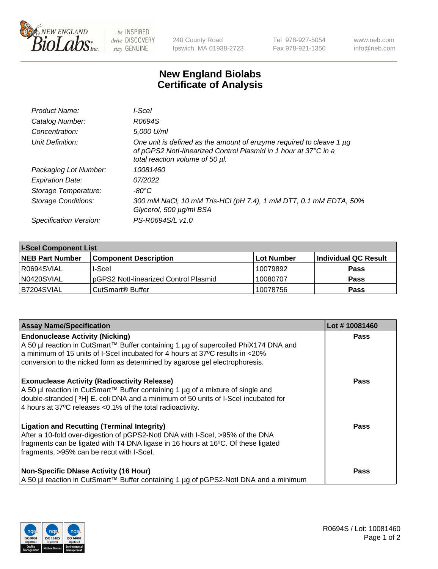

 $be$  INSPIRED drive DISCOVERY stay GENUINE

240 County Road Ipswich, MA 01938-2723 Tel 978-927-5054 Fax 978-921-1350 www.neb.com info@neb.com

## **New England Biolabs Certificate of Analysis**

| Product Name:              | l-Scel                                                                                                                                                                    |
|----------------------------|---------------------------------------------------------------------------------------------------------------------------------------------------------------------------|
| Catalog Number:            | R0694S                                                                                                                                                                    |
| Concentration:             | 5.000 U/ml                                                                                                                                                                |
| Unit Definition:           | One unit is defined as the amount of enzyme required to cleave 1 µg<br>of pGPS2 Notl-linearized Control Plasmid in 1 hour at 37°C in a<br>total reaction volume of 50 µl. |
| Packaging Lot Number:      | 10081460                                                                                                                                                                  |
| <b>Expiration Date:</b>    | 07/2022                                                                                                                                                                   |
| Storage Temperature:       | -80°C                                                                                                                                                                     |
| <b>Storage Conditions:</b> | 300 mM NaCl, 10 mM Tris-HCl (pH 7.4), 1 mM DTT, 0.1 mM EDTA, 50%<br>Glycerol, 500 µg/ml BSA                                                                               |
| Specification Version:     | PS-R0694S/L v1.0                                                                                                                                                          |

| <b>I-Scel Component List</b> |                                        |              |                      |  |
|------------------------------|----------------------------------------|--------------|----------------------|--|
| <b>NEB Part Number</b>       | <b>Component Description</b>           | l Lot Number | Individual QC Result |  |
| IR0694SVIAL                  | I-Scel                                 | 10079892     | <b>Pass</b>          |  |
| N0420SVIAL                   | IpGPS2 Notl-linearized Control Plasmid | 10080707     | <b>Pass</b>          |  |
| B7204SVIAL                   | CutSmart <sup>®</sup> Buffer           | 10078756     | <b>Pass</b>          |  |

| <b>Assay Name/Specification</b>                                                                                                                                                                                                                                                               | Lot #10081460 |
|-----------------------------------------------------------------------------------------------------------------------------------------------------------------------------------------------------------------------------------------------------------------------------------------------|---------------|
| <b>Endonuclease Activity (Nicking)</b><br>A 50 µl reaction in CutSmart™ Buffer containing 1 µg of supercoiled PhiX174 DNA and<br>a minimum of 15 units of I-Scel incubated for 4 hours at 37°C results in <20%<br>conversion to the nicked form as determined by agarose gel electrophoresis. | <b>Pass</b>   |
| <b>Exonuclease Activity (Radioactivity Release)</b><br>A 50 µl reaction in CutSmart™ Buffer containing 1 µg of a mixture of single and<br>double-stranded [3H] E. coli DNA and a minimum of 50 units of I-Scel incubated for<br>4 hours at 37°C releases < 0.1% of the total radioactivity.   | <b>Pass</b>   |
| <b>Ligation and Recutting (Terminal Integrity)</b><br>After a 10-fold over-digestion of pGPS2-Notl DNA with I-Scel, >95% of the DNA<br>fragments can be ligated with T4 DNA ligase in 16 hours at 16°C. Of these ligated<br>fragments, >95% can be recut with I-Scel.                         | <b>Pass</b>   |
| <b>Non-Specific DNase Activity (16 Hour)</b><br>  A 50 µl reaction in CutSmart™ Buffer containing 1 µg of pGPS2-NotI DNA and a minimum                                                                                                                                                        | <b>Pass</b>   |